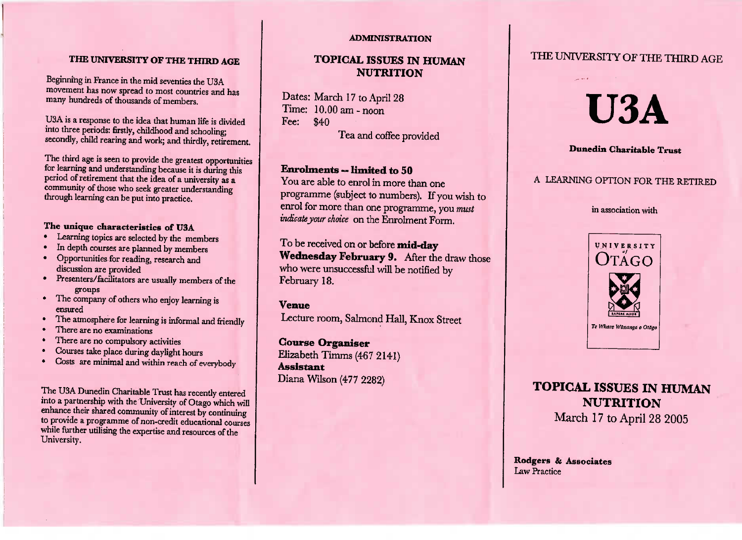#### THE UNIVERSITY OF THE THIRD AGE

 $\mathbf{m}$  in Hranco in the mid case novement has now spread to most countries and many hundreds of thousands of members.

 y hundreds of thousands of members. nto three periods: firstly, childhood and schooling: econdly, child rearing and work; and thirdly, retiremen

secondly, children and work; and work; and work; and work; and work; and work; and work; and work; and work; and work; and work; and work; and work; and work; and work; and work; and work; and work; and work; and work; and or learning and understanding because it is during this eriod of retirement that the idea of a university as a ommunity of those who seek greater understanding  $\hbox{hrought learning can be put into practice.}$ 

#### The unique characteristics of U3A

- **The UP** Learning topics are selected by the me
- In depth courses are planned by members
- Opportunities for reading, research and discussion are provided
- resenters/facilitators are usually memb groups
- mpany ensured nsured<br>he atmosphere for learning is informal and fri
- 
- There are no examinations
- There are no compulsory ac
- Courses take place during daylight h
- Costs are minimal and within reach of even

The U3A Dunedin Charitable Trust has recently entered to a partnership with the University of Otago which will into a partner a partnership with the university of interest by continuing provide a programme of non-credit educational courses hile further utilising the expertise and resources of the University.

#### **ADMINISTRATION**

## **TOPICAL AND CENTRAL AND AND AND ARTICLE AND ARTICLE AND ARTICLE AND INTERNATIONAL ARTICLE AND INTERNATIONAL AND L ISSUES I NUTRITION**

 $Time: 10.00 \text{ am - noon}$ Dates: March 17 to April 28  $T_{\text{max}}$  10.000 am-nool  $\sqrt{40}$ Tea and coffee provided

 $\alpha$  are able to enrol in more the programme (subject to numbers). If you wish to programme, you wish<br>
<sup>*u*</sup> must must with the subsequence of the programme, you must expect for more diam one programme, you?<br>*ndicate your choice* on the Enrolment Form.

.<br>., ednesday February 9. After the draw those who were unsuccessful will be notified by 'ebruary 18.

#### **Venue**

d friendl

h of everybod

**Venue** Lecture room, Salmond Hall, Knox Street

**Course Organiser** Elizabeth Timms (467 2141)**Assistant** Diana Wilson (477 2282)

## THE UNIVERSITY OF THE THIRD AGE



#### **Dunedin Charitable Trust**

#### A LEARNING OPTION FOR THE RETIRED

#### in association with



# **TOPICAL ISSUES IN HUMANNUTRITION**

March 17 to April 28 200

Rodgers & Associates uw reactice